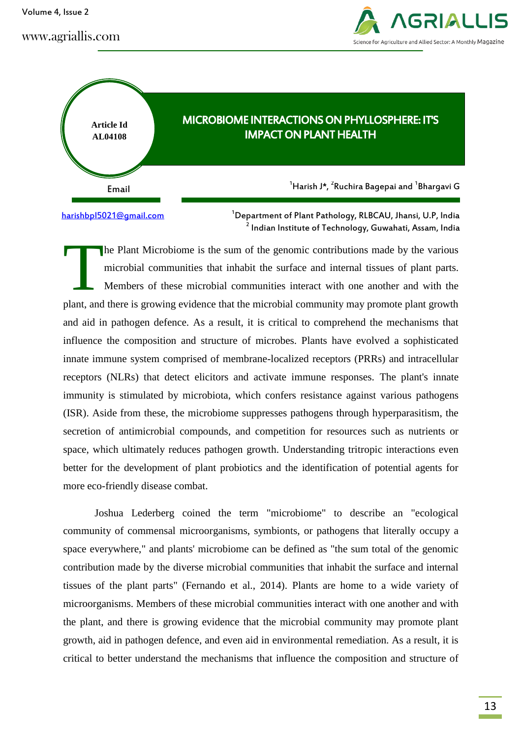Volume 4, Issue 2





# MICROBIOME INTERACTIONS ON PHYLLOSPHERE: IT'S IMPACT ON PLANT HEALTH

 $^{\text{1}}$ Harish J\*,  $^{\text{2}}$ Ruchira Bagepai and  $^{\text{1}}$ Bhargavi G

[harishbpl5021@gmail.com](mailto:harishbpl5021@gmail.com)

<sup>1</sup>Department of Plant Pathology, RLBCAU, Jhansi, U.P, India 2 Indian Institute of Technology, Guwahati, Assam, India

he Plant Microbiome is the sum of the genomic contributions made by the various microbial communities that inhabit the surface and internal tissues of plant parts. Members of these microbial communities interact with one another and with the plant, and there is growing evidence that the microbial community may promote plant growth and aid in pathogen defence. As a result, it is critical to comprehend the mechanisms that influence the composition and structure of microbes. Plants have evolved a sophisticated innate immune system comprised of membrane-localized receptors (PRRs) and intracellular receptors (NLRs) that detect elicitors and activate immune responses. The plant's innate immunity is stimulated by microbiota, which confers resistance against various pathogens (ISR). Aside from these, the microbiome suppresses pathogens through hyperparasitism, the secretion of antimicrobial compounds, and competition for resources such as nutrients or space, which ultimately reduces pathogen growth. Understanding tritropic interactions even better for the development of plant probiotics and the identification of potential agents for more eco-friendly disease combat. T

Joshua Lederberg coined the term "microbiome" to describe an "ecological community of commensal microorganisms, symbionts, or pathogens that literally occupy a space everywhere," and plants' microbiome can be defined as "the sum total of the genomic contribution made by the diverse microbial communities that inhabit the surface and internal tissues of the plant parts" (Fernando et al., 2014). Plants are home to a wide variety of microorganisms. Members of these microbial communities interact with one another and with the plant, and there is growing evidence that the microbial community may promote plant growth, aid in pathogen defence, and even aid in environmental remediation. As a result, it is critical to better understand the mechanisms that influence the composition and structure of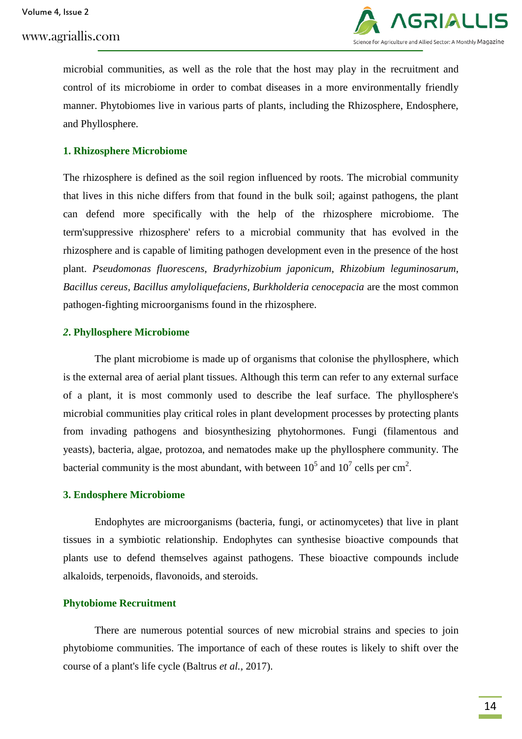

microbial communities, as well as the role that the host may play in the recruitment and control of its microbiome in order to combat diseases in a more environmentally friendly manner. Phytobiomes live in various parts of plants, including the Rhizosphere, Endosphere, and Phyllosphere.

# **1. Rhizosphere Microbiome**

The rhizosphere is defined as the soil region influenced by roots. The microbial community that lives in this niche differs from that found in the bulk soil; against pathogens, the plant can defend more specifically with the help of the rhizosphere microbiome. The term'suppressive rhizosphere' refers to a microbial community that has evolved in the rhizosphere and is capable of limiting pathogen development even in the presence of the host plant. *Pseudomonas fluorescens*, *Bradyrhizobium japonicum*, *Rhizobium leguminosarum*, *Bacillus cereus*, *Bacillus amyloliquefaciens*, *Burkholderia cenocepacia* are the most common pathogen-fighting microorganisms found in the rhizosphere.

## *2***. Phyllosphere Microbiome**

The plant microbiome is made up of organisms that colonise the phyllosphere, which is the external area of aerial plant tissues. Although this term can refer to any external surface of a plant, it is most commonly used to describe the leaf surface. The phyllosphere's microbial communities play critical roles in plant development processes by protecting plants from invading pathogens and biosynthesizing phytohormones. Fungi (filamentous and yeasts), bacteria, algae, protozoa, and nematodes make up the phyllosphere community. The bacterial community is the most abundant, with between  $10^5$  and  $10^7$  cells per cm<sup>2</sup>.

## **3. Endosphere Microbiome**

Endophytes are microorganisms (bacteria, fungi, or actinomycetes) that live in plant tissues in a symbiotic relationship. Endophytes can synthesise bioactive compounds that plants use to defend themselves against pathogens. These bioactive compounds include alkaloids, terpenoids, flavonoids, and steroids.

## **Phytobiome Recruitment**

There are numerous potential sources of new microbial strains and species to join phytobiome communities. The importance of each of these routes is likely to shift over the course of a plant's life cycle (Baltrus *et al.,* 2017).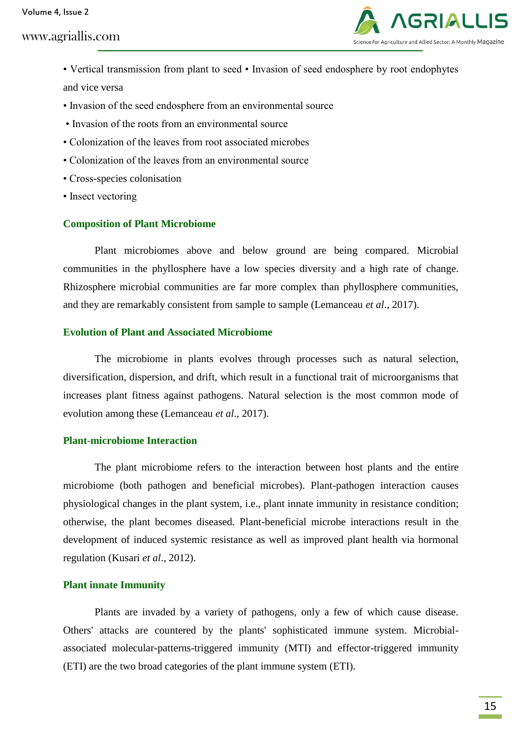Volume 4, Issue 2

# www.agriallis.com



- Vertical transmission from plant to seed Invasion of seed endosphere by root endophytes and vice versa
- Invasion of the seed endosphere from an environmental source
- Invasion of the roots from an environmental source
- Colonization of the leaves from root associated microbes
- Colonization of the leaves from an environmental source
- Cross-species colonisation
- Insect vectoring

#### **Composition of Plant Microbiome**

Plant microbiomes above and below ground are being compared. Microbial communities in the phyllosphere have a low species diversity and a high rate of change. Rhizosphere microbial communities are far more complex than phyllosphere communities, and they are remarkably consistent from sample to sample (Lemanceau *et al*., 2017).

#### **Evolution of Plant and Associated Microbiome**

The microbiome in plants evolves through processes such as natural selection, diversification, dispersion, and drift, which result in a functional trait of microorganisms that increases plant fitness against pathogens. Natural selection is the most common mode of evolution among these (Lemanceau *et al*., 2017).

### **Plant-microbiome Interaction**

The plant microbiome refers to the interaction between host plants and the entire microbiome (both pathogen and beneficial microbes). Plant-pathogen interaction causes physiological changes in the plant system, i.e., plant innate immunity in resistance condition; otherwise, the plant becomes diseased. Plant-beneficial microbe interactions result in the development of induced systemic resistance as well as improved plant health via hormonal regulation (Kusari *et al*., 2012).

#### **Plant innate Immunity**

Plants are invaded by a variety of pathogens, only a few of which cause disease. Others' attacks are countered by the plants' sophisticated immune system. Microbialassociated molecular-patterns-triggered immunity (MTI) and effector-triggered immunity (ETI) are the two broad categories of the plant immune system (ETI).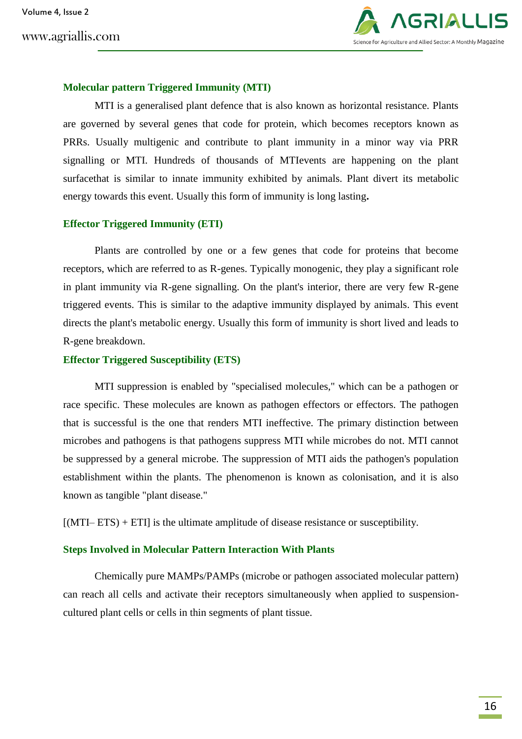

#### **Molecular pattern Triggered Immunity (MTI)**

MTI is a generalised plant defence that is also known as horizontal resistance. Plants are governed by several genes that code for protein, which becomes receptors known as PRRs. Usually multigenic and contribute to plant immunity in a minor way via PRR signalling or MTI. Hundreds of thousands of MTIevents are happening on the plant surfacethat is similar to innate immunity exhibited by animals. Plant divert its metabolic energy towards this event. Usually this form of immunity is long lasting**.**

#### **Effector Triggered Immunity (ETI)**

Plants are controlled by one or a few genes that code for proteins that become receptors, which are referred to as R-genes. Typically monogenic, they play a significant role in plant immunity via R-gene signalling. On the plant's interior, there are very few R-gene triggered events. This is similar to the adaptive immunity displayed by animals. This event directs the plant's metabolic energy. Usually this form of immunity is short lived and leads to R-gene breakdown.

### **Effector Triggered Susceptibility (ETS)**

MTI suppression is enabled by "specialised molecules," which can be a pathogen or race specific. These molecules are known as pathogen effectors or effectors. The pathogen that is successful is the one that renders MTI ineffective. The primary distinction between microbes and pathogens is that pathogens suppress MTI while microbes do not. MTI cannot be suppressed by a general microbe. The suppression of MTI aids the pathogen's population establishment within the plants. The phenomenon is known as colonisation, and it is also known as tangible "plant disease."

 $[(MTI–ETS) + ETI]$  is the ultimate amplitude of disease resistance or susceptibility.

### **Steps Involved in Molecular Pattern Interaction With Plants**

Chemically pure MAMPs/PAMPs (microbe or pathogen associated molecular pattern) can reach all cells and activate their receptors simultaneously when applied to suspensioncultured plant cells or cells in thin segments of plant tissue.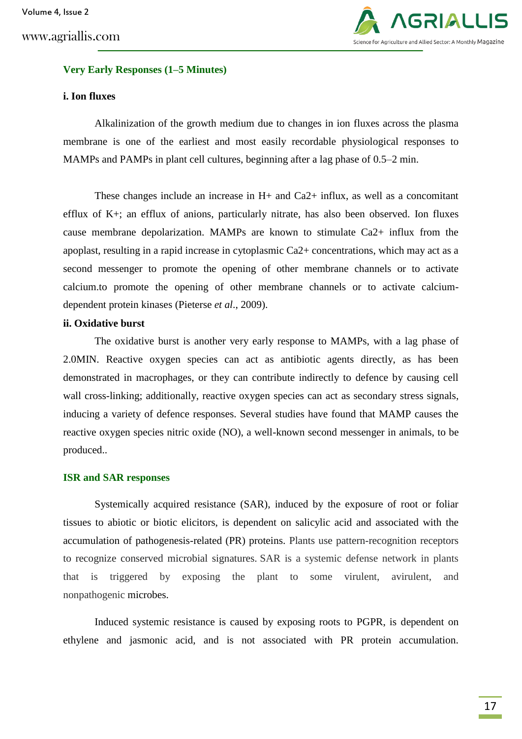

### **Very Early Responses (1–5 Minutes)**

## **i. Ion fluxes**

Alkalinization of the growth medium due to changes in ion fluxes across the plasma membrane is one of the earliest and most easily recordable physiological responses to MAMPs and PAMPs in plant cell cultures, beginning after a lag phase of 0.5–2 min.

These changes include an increase in  $H<sub>+</sub>$  and Ca2+ influx, as well as a concomitant efflux of  $K<sub>+</sub>$ ; an efflux of anions, particularly nitrate, has also been observed. Ion fluxes cause membrane depolarization. MAMPs are known to stimulate Ca2+ influx from the apoplast, resulting in a rapid increase in cytoplasmic Ca2+ concentrations, which may act as a second messenger to promote the opening of other membrane channels or to activate calcium.to promote the opening of other membrane channels or to activate calciumdependent protein kinases (Pieterse *et al*., 2009).

## **ii. Oxidative burst**

The oxidative burst is another very early response to MAMPs, with a lag phase of 2.0MIN. Reactive oxygen species can act as antibiotic agents directly, as has been demonstrated in macrophages, or they can contribute indirectly to defence by causing cell wall cross-linking; additionally, reactive oxygen species can act as secondary stress signals, inducing a variety of defence responses. Several studies have found that MAMP causes the reactive oxygen species nitric oxide (NO), a well-known second messenger in animals, to be produced..

#### **ISR and SAR responses**

Systemically acquired resistance (SAR), induced by the exposure of root or foliar tissues to abiotic or biotic elicitors, is dependent on salicylic acid and associated with the accumulation of pathogenesis-related (PR) proteins. Plants use pattern-recognition receptors to recognize conserved microbial signatures. SAR is a systemic defense network in plants that is triggered by exposing the plant to some virulent, avirulent, and nonpathogenic microbes.

Induced systemic resistance is caused by exposing roots to PGPR, is dependent on ethylene and jasmonic acid, and is not associated with PR protein accumulation.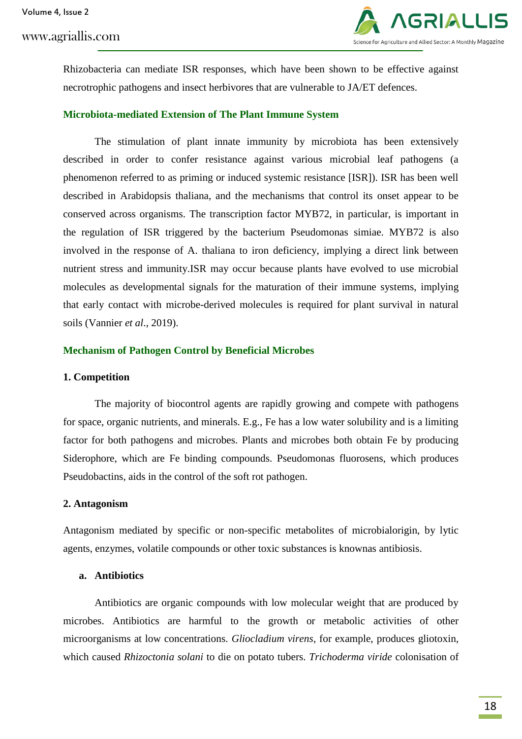

Rhizobacteria can mediate ISR responses, which have been shown to be effective against necrotrophic pathogens and insect herbivores that are vulnerable to JA/ET defences.

#### **Microbiota-mediated Extension of The Plant Immune System**

The stimulation of plant innate immunity by microbiota has been extensively described in order to confer resistance against various microbial leaf pathogens (a phenomenon referred to as priming or induced systemic resistance [ISR]). ISR has been well described in Arabidopsis thaliana, and the mechanisms that control its onset appear to be conserved across organisms. The transcription factor MYB72, in particular, is important in the regulation of ISR triggered by the bacterium Pseudomonas simiae. MYB72 is also involved in the response of A. thaliana to iron deficiency, implying a direct link between nutrient stress and immunity.ISR may occur because plants have evolved to use microbial molecules as developmental signals for the maturation of their immune systems, implying that early contact with microbe-derived molecules is required for plant survival in natural soils (Vannier *et al*., 2019).

### **Mechanism of Pathogen Control by Beneficial Microbes**

#### **1. Competition**

The majority of biocontrol agents are rapidly growing and compete with pathogens for space, organic nutrients, and minerals. E.g., Fe has a low water solubility and is a limiting factor for both pathogens and microbes. Plants and microbes both obtain Fe by producing Siderophore, which are Fe binding compounds. Pseudomonas fluorosens, which produces Pseudobactins, aids in the control of the soft rot pathogen.

#### **2. Antagonism**

Antagonism mediated by specific or non-specific metabolites of microbialorigin, by lytic agents, enzymes, volatile compounds or other toxic substances is knownas antibiosis.

### **a. Antibiotics**

Antibiotics are organic compounds with low molecular weight that are produced by microbes. Antibiotics are harmful to the growth or metabolic activities of other microorganisms at low concentrations. *Gliocladium virens*, for example, produces gliotoxin, which caused *Rhizoctonia solani* to die on potato tubers. *Trichoderma viride* colonisation of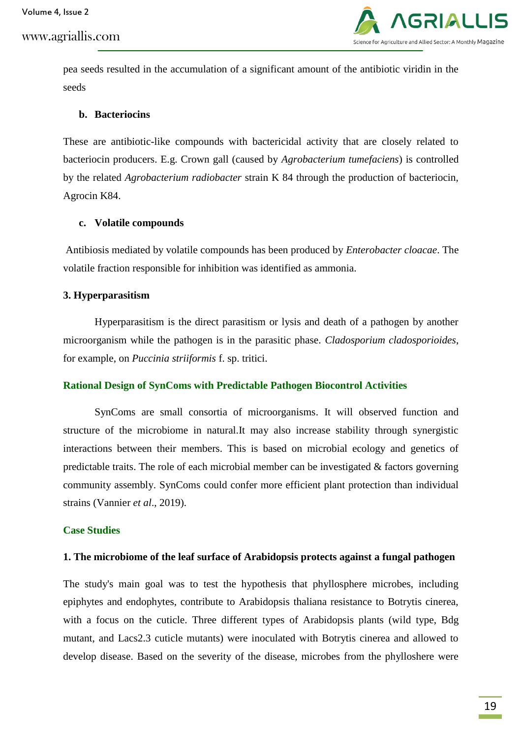

pea seeds resulted in the accumulation of a significant amount of the antibiotic viridin in the seeds

#### **b. Bacteriocins**

These are antibiotic-like compounds with bactericidal activity that are closely related to bacteriocin producers. E.g. Crown gall (caused by *Agrobacterium tumefaciens*) is controlled by the related *Agrobacterium radiobacter* strain K 84 through the production of bacteriocin, Agrocin K84.

#### **c. Volatile compounds**

Antibiosis mediated by volatile compounds has been produced by *Enterobacter cloacae*. The volatile fraction responsible for inhibition was identified as ammonia.

#### **3. Hyperparasitism**

Hyperparasitism is the direct parasitism or lysis and death of a pathogen by another microorganism while the pathogen is in the parasitic phase. *Cladosporium cladosporioides*, for example, on *Puccinia striiformis* f. sp. tritici.

#### **Rational Design of SynComs with Predictable Pathogen Biocontrol Activities**

SynComs are small consortia of microorganisms. It will observed function and structure of the microbiome in natural.It may also increase stability through synergistic interactions between their members. This is based on microbial ecology and genetics of predictable traits. The role of each microbial member can be investigated  $\&$  factors governing community assembly. SynComs could confer more efficient plant protection than individual strains (Vannier *et al*., 2019).

#### **Case Studies**

#### **1. The microbiome of the leaf surface of Arabidopsis protects against a fungal pathogen**

The study's main goal was to test the hypothesis that phyllosphere microbes, including epiphytes and endophytes, contribute to Arabidopsis thaliana resistance to Botrytis cinerea, with a focus on the cuticle. Three different types of Arabidopsis plants (wild type, Bdg mutant, and Lacs2.3 cuticle mutants) were inoculated with Botrytis cinerea and allowed to develop disease. Based on the severity of the disease, microbes from the phylloshere were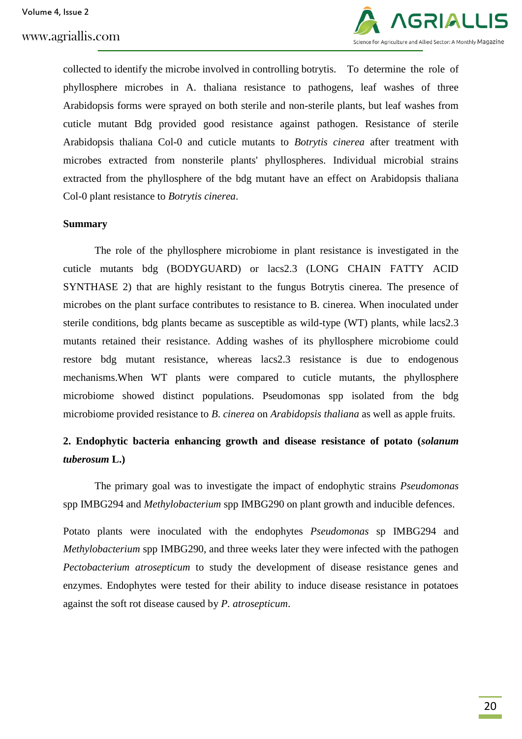

collected to identify the microbe involved in controlling botrytis. To determine the role of phyllosphere microbes in A. thaliana resistance to pathogens, leaf washes of three Arabidopsis forms were sprayed on both sterile and non-sterile plants, but leaf washes from cuticle mutant Bdg provided good resistance against pathogen. Resistance of sterile Arabidopsis thaliana Col-0 and cuticle mutants to *Botrytis cinerea* after treatment with microbes extracted from nonsterile plants' phyllospheres. Individual microbial strains extracted from the phyllosphere of the bdg mutant have an effect on Arabidopsis thaliana Col-0 plant resistance to *Botrytis cinerea*.

#### **Summary**

The role of the phyllosphere microbiome in plant resistance is investigated in the cuticle mutants bdg (BODYGUARD) or lacs2.3 (LONG CHAIN FATTY ACID SYNTHASE 2) that are highly resistant to the fungus Botrytis cinerea. The presence of microbes on the plant surface contributes to resistance to B. cinerea. When inoculated under sterile conditions, bdg plants became as susceptible as wild-type (WT) plants, while lacs2.3 mutants retained their resistance. Adding washes of its phyllosphere microbiome could restore bdg mutant resistance, whereas lacs2.3 resistance is due to endogenous mechanisms.When WT plants were compared to cuticle mutants, the phyllosphere microbiome showed distinct populations. Pseudomonas spp isolated from the bdg microbiome provided resistance to *B*. *cinerea* on *Arabidopsis thaliana* as well as apple fruits.

# **2. Endophytic bacteria enhancing growth and disease resistance of potato (***solanum tuberosum* **L.)**

The primary goal was to investigate the impact of endophytic strains *Pseudomonas*  spp IMBG294 and *Methylobacterium* spp IMBG290 on plant growth and inducible defences.

Potato plants were inoculated with the endophytes *Pseudomonas* sp IMBG294 and *Methylobacterium* spp IMBG290, and three weeks later they were infected with the pathogen *Pectobacterium atrosepticum* to study the development of disease resistance genes and enzymes. Endophytes were tested for their ability to induce disease resistance in potatoes against the soft rot disease caused by *P. atrosepticum*.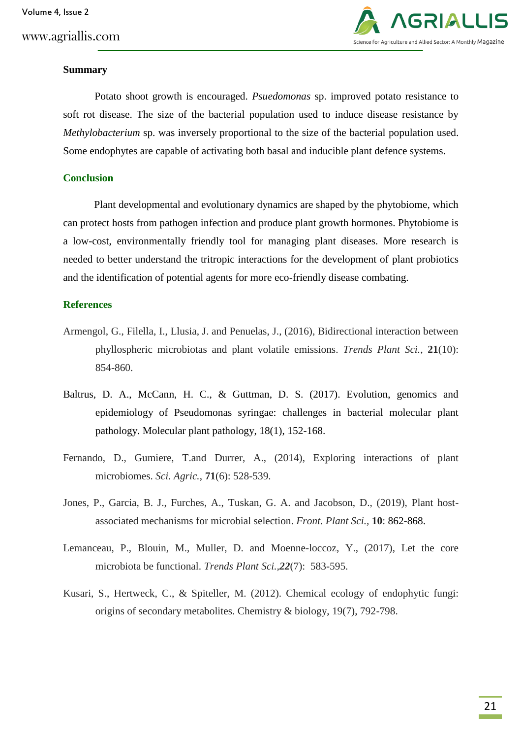

#### **Summary**

Potato shoot growth is encouraged. *Psuedomonas* sp. improved potato resistance to soft rot disease. The size of the bacterial population used to induce disease resistance by *Methylobacterium* sp. was inversely proportional to the size of the bacterial population used. Some endophytes are capable of activating both basal and inducible plant defence systems.

### **Conclusion**

Plant developmental and evolutionary dynamics are shaped by the phytobiome, which can protect hosts from pathogen infection and produce plant growth hormones. Phytobiome is a low-cost, environmentally friendly tool for managing plant diseases. More research is needed to better understand the tritropic interactions for the development of plant probiotics and the identification of potential agents for more eco-friendly disease combating.

#### **References**

- Armengol, G., Filella, I., Llusia, J. and Penuelas, J., (2016), Bidirectional interaction between phyllospheric microbiotas and plant volatile emissions. *Trends Plant Sci.*, **21**(10): 854-860.
- Baltrus, D. A., McCann, H. C., & Guttman, D. S. (2017). Evolution, genomics and epidemiology of Pseudomonas syringae: challenges in bacterial molecular plant pathology. Molecular plant pathology, 18(1), 152-168.
- Fernando, D., Gumiere, T.and Durrer, A., (2014), Exploring interactions of plant microbiomes. *Sci. Agric.*, **71**(6): 528-539.
- Jones, P., Garcia, B. J., Furches, A., Tuskan, G. A. and Jacobson, D., (2019), Plant hostassociated mechanisms for microbial selection. *Front. Plant Sci.,* **10**: 862-868.
- Lemanceau, P., Blouin, M., Muller, D. and Moenne-loccoz, Y., (2017), Let the core microbiota be functional. *Trends Plant Sci.,22*(7): 583-595.
- Kusari, S., Hertweck, C., & Spiteller, M. (2012). Chemical ecology of endophytic fungi: origins of secondary metabolites. Chemistry & biology, 19(7), 792-798.